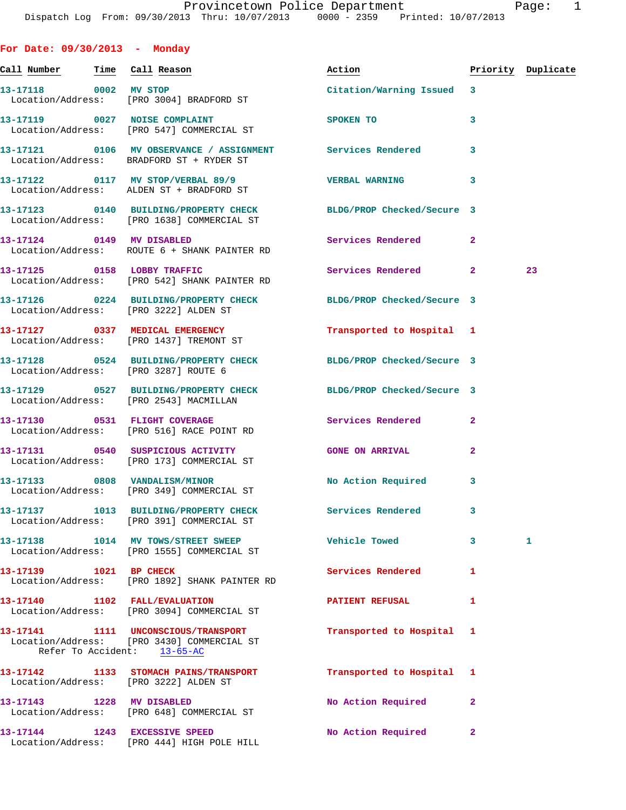| For Date: 09/30/2013 - Monday         |                                                                                                                  |                           |              |                    |
|---------------------------------------|------------------------------------------------------------------------------------------------------------------|---------------------------|--------------|--------------------|
| <u>Call Number — Time Call Reason</u> |                                                                                                                  | Action                    |              | Priority Duplicate |
| 13-17118 0002 MV STOP                 | Location/Address: [PRO 3004] BRADFORD ST                                                                         | Citation/Warning Issued 3 |              |                    |
|                                       | 13-17119 0027 NOISE COMPLAINT<br>Location/Address: [PRO 547] COMMERCIAL ST                                       | SPOKEN TO                 | 3            |                    |
|                                       | 13-17121 0106 MV OBSERVANCE / ASSIGNMENT Services Rendered<br>Location/Address: BRADFORD ST + RYDER ST           |                           | 3            |                    |
|                                       | 13-17122 0117 MV STOP/VERBAL 89/9<br>Location/Address: ALDEN ST + BRADFORD ST                                    | <b>VERBAL WARNING</b>     | 3            |                    |
|                                       | 13-17123 0140 BUILDING/PROPERTY CHECK BLDG/PROP Checked/Secure 3<br>Location/Address: [PRO 1638] COMMERCIAL ST   |                           |              |                    |
|                                       | 13-17124 0149 MV DISABLED<br>Location/Address: ROUTE 6 + SHANK PAINTER RD                                        | <b>Services Rendered</b>  | $\mathbf{2}$ |                    |
|                                       | 13-17125 0158 LOBBY TRAFFIC<br>Location/Address: [PRO 542] SHANK PAINTER RD                                      | Services Rendered         | $\mathbf{2}$ | 23                 |
|                                       | 13-17126 0224 BUILDING/PROPERTY CHECK BLDG/PROP Checked/Secure 3<br>Location/Address: [PRO 3222] ALDEN ST        |                           |              |                    |
|                                       | 13-17127 0337 MEDICAL EMERGENCY<br>Location/Address: [PRO 1437] TREMONT ST                                       | Transported to Hospital 1 |              |                    |
| Location/Address: [PRO 3287] ROUTE 6  | 13-17128 0524 BUILDING/PROPERTY CHECK BLDG/PROP Checked/Secure 3                                                 |                           |              |                    |
|                                       | 13-17129 0527 BUILDING/PROPERTY CHECK BLDG/PROP Checked/Secure 3<br>Location/Address: [PRO 2543] MACMILLAN       |                           |              |                    |
|                                       | 13-17130 0531 FLIGHT COVERAGE<br>Location/Address: [PRO 516] RACE POINT RD                                       | Services Rendered         | $\mathbf{2}$ |                    |
|                                       | 13-17131 0540 SUSPICIOUS ACTIVITY<br>Location/Address: [PRO 173] COMMERCIAL ST                                   | <b>GONE ON ARRIVAL</b>    | 2            |                    |
|                                       | 13-17133 0808 VANDALISM/MINOR<br>Location/Address: [PRO 349] COMMERCIAL ST                                       | No Action Required 3      |              |                    |
|                                       | 13-17137 1013 BUILDING/PROPERTY CHECK<br>Location/Address: [PRO 391] COMMERCIAL ST                               | <b>Services Rendered</b>  | 3            |                    |
|                                       | 13-17138 1014 MV TOWS/STREET SWEEP<br>Location/Address: [PRO 1555] COMMERCIAL ST                                 | <b>Vehicle Towed</b>      | 3            | 1                  |
| 13-17139 1021 BP CHECK                | Location/Address: [PRO 1892] SHANK PAINTER RD                                                                    | Services Rendered         | 1            |                    |
|                                       | 13-17140 1102 FALL/EVALUATION<br>Location/Address: [PRO 3094] COMMERCIAL ST                                      | <b>PATIENT REFUSAL</b>    | 1            |                    |
|                                       | 13-17141 1111 UNCONSCIOUS/TRANSPORT<br>Location/Address: [PRO 3430] COMMERCIAL ST<br>Refer To Accident: 13-65-AC | Transported to Hospital   | 1            |                    |
| Location/Address: [PRO 3222] ALDEN ST | 13-17142 1133 STOMACH PAINS/TRANSPORT                                                                            | Transported to Hospital   | 1            |                    |
| 13-17143 1228 MV DISABLED             | Location/Address: [PRO 648] COMMERCIAL ST                                                                        | No Action Required        | 2            |                    |
| 13-17144 1243 EXCESSIVE SPEED         | Location/Address: [PRO 444] HIGH POLE HILL                                                                       | No Action Required        | $\mathbf{2}$ |                    |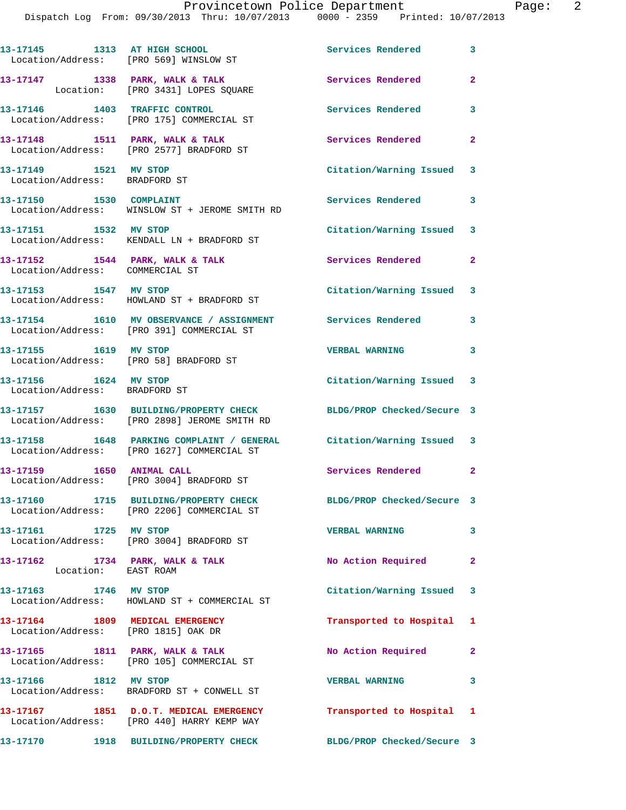Dispatch Log From: 09/30/2013 Thru: 10/07/2013 0000 - 2359 Printed: 10/07/2013

|                                                        | 13-17145 1313 AT HIGH SCHOOL<br>Location/Address: [PRO 569] WINSLOW ST                                            | Services Rendered          | 3                       |
|--------------------------------------------------------|-------------------------------------------------------------------------------------------------------------------|----------------------------|-------------------------|
|                                                        | 13-17147 1338 PARK, WALK & TALK<br>Location: [PRO 3431] LOPES SQUARE                                              | Services Rendered          | $\overline{2}$          |
|                                                        | 13-17146 1403 TRAFFIC CONTROL<br>Location/Address: [PRO 175] COMMERCIAL ST                                        | <b>Services Rendered</b>   | 3                       |
|                                                        | 13-17148 1511 PARK, WALK & TALK<br>Location/Address: [PRO 2577] BRADFORD ST                                       | Services Rendered          | $\mathbf{2}$            |
| 13-17149 1521 MV STOP<br>Location/Address: BRADFORD ST |                                                                                                                   | Citation/Warning Issued 3  |                         |
| 13-17150 1530 COMPLAINT                                | Location/Address: WINSLOW ST + JEROME SMITH RD                                                                    | Services Rendered          | $\mathbf{3}$            |
| 13-17151 1532 MV STOP                                  | Location/Address: KENDALL LN + BRADFORD ST                                                                        | Citation/Warning Issued 3  |                         |
| Location/Address: COMMERCIAL ST                        | 13-17152 1544 PARK, WALK & TALK                                                                                   | <b>Services Rendered</b>   | $\mathbf{2}$            |
| 13-17153 1547 MV STOP                                  | Location/Address: HOWLAND ST + BRADFORD ST                                                                        | Citation/Warning Issued 3  |                         |
|                                                        | 13-17154 1610 MV OBSERVANCE / ASSIGNMENT Services Rendered<br>Location/Address: [PRO 391] COMMERCIAL ST           |                            | 3                       |
| 13-17155 1619 MV STOP                                  | Location/Address: [PRO 58] BRADFORD ST                                                                            | VERBAL WARNING 3           |                         |
| 13-17156 1624 MV STOP<br>Location/Address: BRADFORD ST |                                                                                                                   | Citation/Warning Issued 3  |                         |
|                                                        | 13-17157 1630 BUILDING/PROPERTY CHECK<br>Location/Address: [PRO 2898] JEROME SMITH RD                             | BLDG/PROP Checked/Secure 3 |                         |
|                                                        | 13-17158 1648 PARKING COMPLAINT / GENERAL Citation/Warning Issued 3<br>Location/Address: [PRO 1627] COMMERCIAL ST |                            |                         |
| 13-17159 1650 ANIMAL CALL                              | Location/Address: [PRO 3004] BRADFORD ST                                                                          | Services Rendered 2        |                         |
|                                                        | 13-17160 1715 BUILDING/PROPERTY CHECK<br>Location/Address: [PRO 2206] COMMERCIAL ST                               | BLDG/PROP Checked/Secure 3 |                         |
| 13-17161 1725 MV STOP                                  | Location/Address: [PRO 3004] BRADFORD ST                                                                          | <b>VERBAL WARNING</b>      | $\overline{\mathbf{3}}$ |
| Location: EAST ROAM                                    | 13-17162 1734 PARK, WALK & TALK                                                                                   | No Action Required 2       |                         |
| 13-17163 1746 MV STOP                                  | Location/Address: HOWLAND ST + COMMERCIAL ST                                                                      | Citation/Warning Issued 3  |                         |
| Location/Address: [PRO 1815] OAK DR                    | 13-17164 1809 MEDICAL EMERGENCY                                                                                   | Transported to Hospital 1  |                         |
|                                                        | 13-17165 1811 PARK, WALK & TALK<br>Location/Address: [PRO 105] COMMERCIAL ST                                      | No Action Required 2       |                         |
|                                                        | 13-17166 1812 MV STOP<br>Location/Address: BRADFORD ST + CONWELL ST                                               | <b>VERBAL WARNING</b>      | 3                       |
|                                                        | 13-17167 1851 D.O.T. MEDICAL EMERGENCY Transported to Hospital 1<br>Location/Address: [PRO 440] HARRY KEMP WAY    |                            |                         |
|                                                        | 13-17170 1918 BUILDING/PROPERTY CHECK                                                                             | BLDG/PROP Checked/Secure 3 |                         |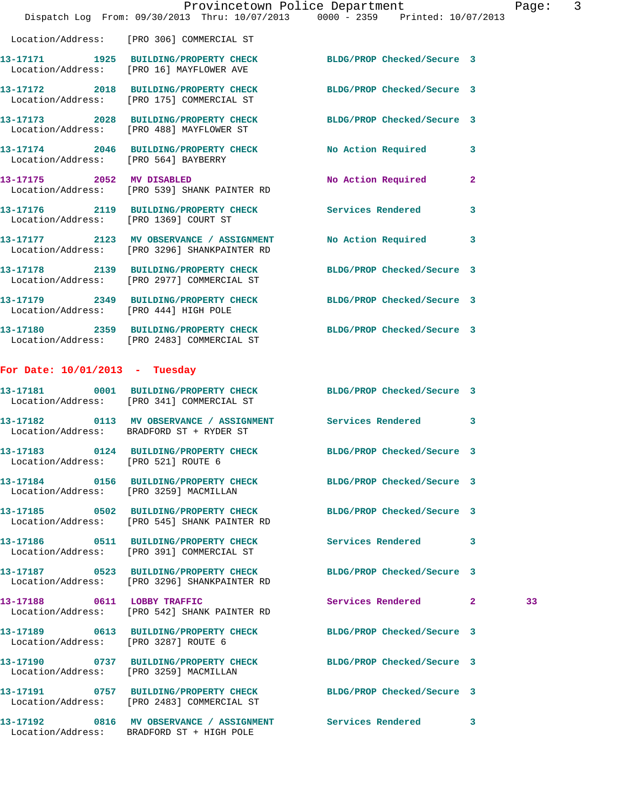|                                        | Dispatch Log From: 09/30/2013 Thru: 10/07/2013 0000 - 2359 Printed: 10/07/2013                                       | Provincetown Police Department |              | Page: | $\overline{\mathbf{3}}$ |
|----------------------------------------|----------------------------------------------------------------------------------------------------------------------|--------------------------------|--------------|-------|-------------------------|
|                                        | Location/Address: [PRO 306] COMMERCIAL ST                                                                            |                                |              |       |                         |
|                                        | 13-17171   1925   BUILDING/PROPERTY CHECK   BLDG/PROP Checked/Secure   3<br>Location/Address: [PRO 16] MAYFLOWER AVE |                                |              |       |                         |
|                                        | 13-17172 2018 BUILDING/PROPERTY CHECK BLDG/PROP Checked/Secure 3<br>Location/Address: [PRO 175] COMMERCIAL ST        |                                |              |       |                         |
|                                        | 13-17173 2028 BUILDING/PROPERTY CHECK BLDG/PROP Checked/Secure 3<br>Location/Address: [PRO 488] MAYFLOWER ST         |                                |              |       |                         |
|                                        | 13-17174 2046 BUILDING/PROPERTY CHECK No Action Required 3<br>Location/Address: [PRO 564] BAYBERRY                   |                                |              |       |                         |
|                                        | 13-17175 2052 MV DISABLED<br>Location/Address: [PRO 539] SHANK PAINTER RD                                            | No Action Required             | $\mathbf{2}$ |       |                         |
|                                        | 13-17176 2119 BUILDING/PROPERTY CHECK Services Rendered<br>Location/Address: [PRO 1369] COURT ST                     |                                | 3            |       |                         |
|                                        | 13-17177 2123 MV OBSERVANCE / ASSIGNMENT<br>Location/Address: [PRO 3296] SHANKPAINTER RD                             | No Action Required             | 3            |       |                         |
|                                        | 13-17178 2139 BUILDING/PROPERTY CHECK BLDG/PROP Checked/Secure 3<br>Location/Address: [PRO 2977] COMMERCIAL ST       |                                |              |       |                         |
| Location/Address: [PRO 444] HIGH POLE  | 13-17179 2349 BUILDING/PROPERTY CHECK BLDG/PROP Checked/Secure 3                                                     |                                |              |       |                         |
|                                        | 13-17180 2359 BUILDING/PROPERTY CHECK BLDG/PROP Checked/Secure 3<br>Location/Address: [PRO 2483] COMMERCIAL ST       |                                |              |       |                         |
| For Date: $10/01/2013$ - Tuesday       |                                                                                                                      |                                |              |       |                         |
|                                        | 13-17181 0001 BUILDING/PROPERTY CHECK BLDG/PROP Checked/Secure 3<br>Location/Address: [PRO 341] COMMERCIAL ST        |                                |              |       |                         |
|                                        | 13-17182 0113 MV OBSERVANCE / ASSIGNMENT Services Rendered 3<br>Location/Address: BRADFORD ST + RYDER ST             |                                |              |       |                         |
| Location/Address: [PRO 521] ROUTE 6    | 13-17183 0124 BUILDING/PROPERTY CHECK BLDG/PROP Checked/Secure 3                                                     |                                |              |       |                         |
|                                        | 13-17184 0156 BUILDING/PROPERTY CHECK BLDG/PROP Checked/Secure 3<br>Location/Address: [PRO 3259] MACMILLAN           |                                |              |       |                         |
|                                        | 13-17185 0502 BUILDING/PROPERTY CHECK BLDG/PROP Checked/Secure 3<br>Location/Address: [PRO 545] SHANK PAINTER RD     |                                |              |       |                         |
|                                        |                                                                                                                      |                                | 3            |       |                         |
|                                        | 13-17187 0523 BUILDING/PROPERTY CHECK<br>Location/Address: [PRO 3296] SHANKPAINTER RD                                | BLDG/PROP Checked/Secure 3     |              |       |                         |
|                                        | 13-17188 0611 LOBBY TRAFFIC<br>Location/Address: [PRO 542] SHANK PAINTER RD                                          | Services Rendered 2            |              | 33    |                         |
| Location/Address: [PRO 3287] ROUTE 6   | 13-17189 0613 BUILDING/PROPERTY CHECK BLDG/PROP Checked/Secure 3                                                     |                                |              |       |                         |
| Location/Address: [PRO 3259] MACMILLAN | 13-17190 0737 BUILDING/PROPERTY CHECK BLDG/PROP Checked/Secure 3                                                     |                                |              |       |                         |
|                                        | 13-17191 0757 BUILDING/PROPERTY CHECK<br>Location/Address: [PRO 2483] COMMERCIAL ST                                  | BLDG/PROP Checked/Secure 3     |              |       |                         |
|                                        | 13-17192 0816 MV OBSERVANCE / ASSIGNMENT Services Rendered 3<br>Location/Address: BRADFORD ST + HIGH POLE            |                                |              |       |                         |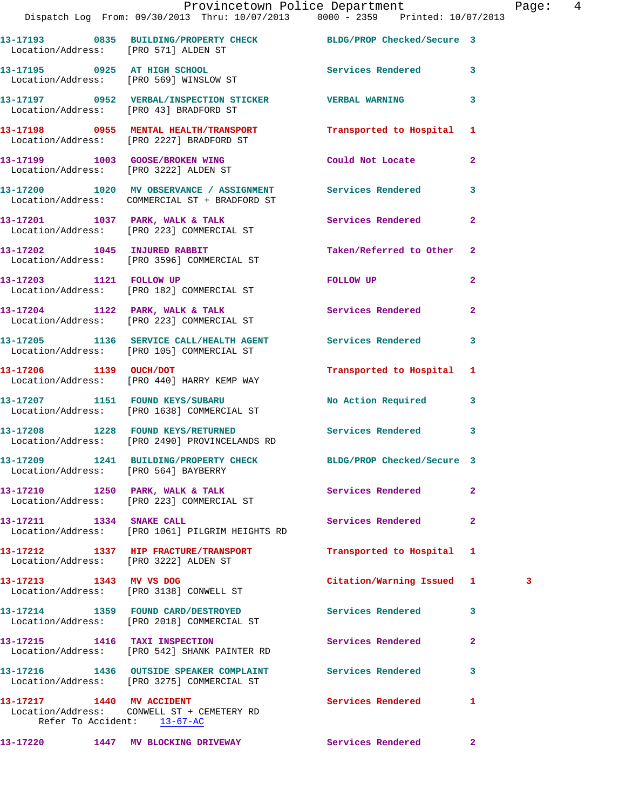|                                                          | Provincetown Police Department<br>Dispatch Log From: 09/30/2013 Thru: 10/07/2013 0000 - 2359 Printed: 10/07/2013 |                           | Pag            |
|----------------------------------------------------------|------------------------------------------------------------------------------------------------------------------|---------------------------|----------------|
|                                                          |                                                                                                                  |                           |                |
| Location/Address: [PRO 571] ALDEN ST                     | 13-17193 0835 BUILDING/PROPERTY CHECK BLDG/PROP Checked/Secure 3                                                 |                           |                |
|                                                          | 13-17195 0925 AT HIGH SCHOOL<br>Location/Address: [PRO 569] WINSLOW ST                                           | Services Rendered         | 3              |
|                                                          | 13-17197     0952   VERBAL/INSPECTION STICKER        VERBAL WARNING<br>Location/Address:   [PRO 43] BRADFORD ST  |                           | 3              |
|                                                          | 13-17198 0955 MENTAL HEALTH/TRANSPORT<br>Location/Address: [PRO 2227] BRADFORD ST                                | Transported to Hospital   | 1              |
|                                                          | 13-17199 1003 GOOSE/BROKEN WING<br>Location/Address: [PRO 3222] ALDEN ST                                         | Could Not Locate          | $\overline{a}$ |
|                                                          | 13-17200 1020 MV OBSERVANCE / ASSIGNMENT Services Rendered<br>Location/Address: COMMERCIAL ST + BRADFORD ST      |                           | 3              |
|                                                          | 13-17201 1037 PARK, WALK & TALK 1988 Services Rendered<br>Location/Address: [PRO 223] COMMERCIAL ST              |                           | $\overline{a}$ |
|                                                          | 13-17202 1045 INJURED RABBIT<br>Location/Address: [PRO 3596] COMMERCIAL ST                                       | Taken/Referred to Other   | $\overline{2}$ |
| 13-17203 1121 FOLLOW UP                                  | Location/Address: [PRO 182] COMMERCIAL ST                                                                        | FOLLOW UP                 | $\overline{2}$ |
|                                                          | 13-17204 1122 PARK, WALK & TALK Services Rendered<br>Location/Address: [PRO 223] COMMERCIAL ST                   |                           | $\overline{2}$ |
|                                                          | 13-17205 1136 SERVICE CALL/HEALTH AGENT Services Rendered<br>Location/Address: [PRO 105] COMMERCIAL ST           |                           | 3              |
|                                                          | 13-17206 1139 OUCH/DOT<br>Location/Address: [PRO 440] HARRY KEMP WAY                                             | Transported to Hospital 1 |                |
|                                                          | 13-17207 1151 FOUND KEYS/SUBARU<br>Location/Address: [PRO 1638] COMMERCIAL ST                                    | No Action Required        | 3              |
|                                                          | 13-17208 1228 FOUND KEYS/RETURNED<br>Location/Address: [PRO 2490] PROVINCELANDS RD                               | Services Rendered         | 3              |
| Location/Address: [PRO 564] BAYBERRY                     | 13-17209 1241 BUILDING/PROPERTY CHECK BLDG/PROP Checked/Secure 3                                                 |                           |                |
|                                                          | 13-17210 1250 PARK, WALK & TALK<br>Location/Address: [PRO 223] COMMERCIAL ST                                     | Services Rendered         | $\mathbf{2}$   |
| 13-17211 1334 SNAKE CALL                                 | Location/Address: [PRO 1061] PILGRIM HEIGHTS RD                                                                  | <b>Services Rendered</b>  | $\overline{a}$ |
| Location/Address: [PRO 3222] ALDEN ST                    | 13-17212 1337 HIP FRACTURE/TRANSPORT                                                                             | Transported to Hospital   | 1              |
| 13-17213 1343 MV VS DOG                                  | Location/Address: [PRO 3138] CONWELL ST                                                                          | Citation/Warning Issued 1 | 3              |
|                                                          | 13-17214 1359 FOUND CARD/DESTROYED<br>Location/Address: [PRO 2018] COMMERCIAL ST                                 | Services Rendered         | 3              |
| 13-17215 1416 TAXI INSPECTION                            | Location/Address: [PRO 542] SHANK PAINTER RD                                                                     | Services Rendered         | $\mathbf{2}$   |
|                                                          | 13-17216 1436 OUTSIDE SPEAKER COMPLAINT Services Rendered<br>Location/Address: [PRO 3275] COMMERCIAL ST          |                           | 3              |
| 13-17217 1440 MV ACCIDENT<br>Refer To Accident: 13-67-AC | Location/Address: CONWELL ST + CEMETERY RD                                                                       | Services Rendered         | 1              |
|                                                          |                                                                                                                  |                           |                |

**13-17220 1447 MV BLOCKING DRIVEWAY Services Rendered 2** 

Page: 4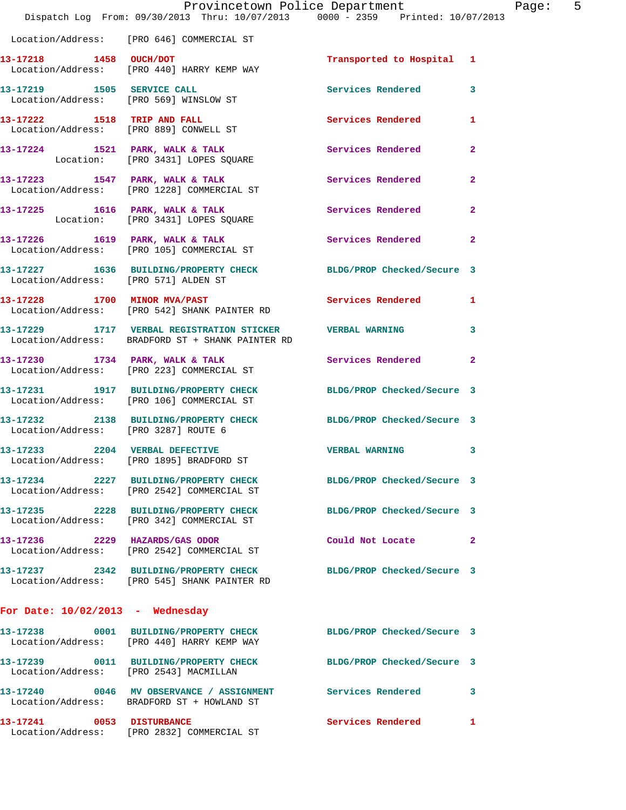|                                      | Dispatch Log From: 09/30/2013 Thru: 10/07/2013 0000 - 2359 Printed: 10/07/2013                                   | Provincetown Police Department |              | Page: 5 |  |
|--------------------------------------|------------------------------------------------------------------------------------------------------------------|--------------------------------|--------------|---------|--|
|                                      | Location/Address: [PRO 646] COMMERCIAL ST                                                                        |                                |              |         |  |
| 13-17218 1458 OUCH/DOT               | Location/Address: [PRO 440] HARRY KEMP WAY                                                                       | Transported to Hospital 1      |              |         |  |
|                                      | 13-17219 1505 SERVICE CALL<br>Location/Address: [PRO 569] WINSLOW ST                                             | Services Rendered 3            |              |         |  |
|                                      | 13-17222 1518 TRIP AND FALL<br>Location/Address: [PRO 889] CONWELL ST                                            | Services Rendered 1            |              |         |  |
|                                      | 13-17224 1521 PARK, WALK & TALK 1998 Services Rendered<br>Location: [PRO 3431] LOPES SQUARE                      |                                | $\mathbf{2}$ |         |  |
|                                      | 13-17223 1547 PARK, WALK & TALK 1988 Services Rendered 2<br>Location/Address: [PRO 1228] COMMERCIAL ST           |                                |              |         |  |
|                                      | 13-17225 1616 PARK, WALK & TALK<br>Location: [PRO 3431] LOPES SQUARE                                             | Services Rendered              | $\mathbf{2}$ |         |  |
|                                      | 13-17226 1619 PARK, WALK & TALK 1997 Services Rendered<br>Location/Address: [PRO 105] COMMERCIAL ST              |                                | $\mathbf{2}$ |         |  |
| Location/Address: [PRO 571] ALDEN ST | 13-17227 1636 BUILDING/PROPERTY CHECK BLDG/PROP Checked/Secure 3                                                 |                                |              |         |  |
|                                      | 13-17228 1700 MINOR MVA/PAST<br>Location/Address: [PRO 542] SHANK PAINTER RD                                     | Services Rendered 1            |              |         |  |
|                                      | 13-17229 1717 VERBAL REGISTRATION STICKER WERBAL WARNING 3<br>Location/Address: BRADFORD ST + SHANK PAINTER RD   |                                |              |         |  |
|                                      | 13-17230 1734 PARK, WALK & TALK Services Rendered 2<br>Location/Address: [PRO 223] COMMERCIAL ST                 |                                |              |         |  |
|                                      | 13-17231 1917 BUILDING/PROPERTY CHECK BLDG/PROP Checked/Secure 3<br>Location/Address: [PRO 106] COMMERCIAL ST    |                                |              |         |  |
| Location/Address: [PRO 3287] ROUTE 6 | 13-17232 2138 BUILDING/PROPERTY CHECK BLDG/PROP Checked/Secure 3                                                 |                                |              |         |  |
|                                      | 13-17233 2204 VERBAL DEFECTIVE WERBAL WARNING 3<br>Location/Address: [PRO 1895] BRADFORD ST                      |                                |              |         |  |
|                                      | 13-17234 2227 BUILDING/PROPERTY CHECK BLDG/PROP Checked/Secure 3<br>Location/Address: [PRO 2542] COMMERCIAL ST   |                                |              |         |  |
|                                      | 13-17235 2228 BUILDING/PROPERTY CHECK<br>Location/Address: [PRO 342] COMMERCIAL ST                               | BLDG/PROP Checked/Secure 3     |              |         |  |
|                                      | 13-17236 2229 HAZARDS/GAS ODOR<br>Location/Address: [PRO 2542] COMMERCIAL ST                                     | Could Not Locate 2             |              |         |  |
|                                      | 13-17237 2342 BUILDING/PROPERTY CHECK BLDG/PROP Checked/Secure 3<br>Location/Address: [PRO 545] SHANK PAINTER RD |                                |              |         |  |
| For Date: $10/02/2013$ - Wednesday   |                                                                                                                  |                                |              |         |  |
|                                      | 13-17238 0001 BUILDING/PROPERTY CHECK BLDG/PROP Checked/Secure 3<br>Location/Address: [PRO 440] HARRY KEMP WAY   |                                |              |         |  |
|                                      | 13-17239 0011 BUILDING/PROPERTY CHECK BLDG/PROP Checked/Secure 3<br>Location/Address: [PRO 2543] MACMILLAN       |                                |              |         |  |
|                                      | 13-17240 0046 MV OBSERVANCE / ASSIGNMENT Services Rendered 3<br>Location/Address: BRADFORD ST + HOWLAND ST       |                                |              |         |  |
|                                      | 13-17241 0053 DISTURBANCE<br>Location/Address: [PRO 2832] COMMERCIAL ST                                          | Services Rendered 1            |              |         |  |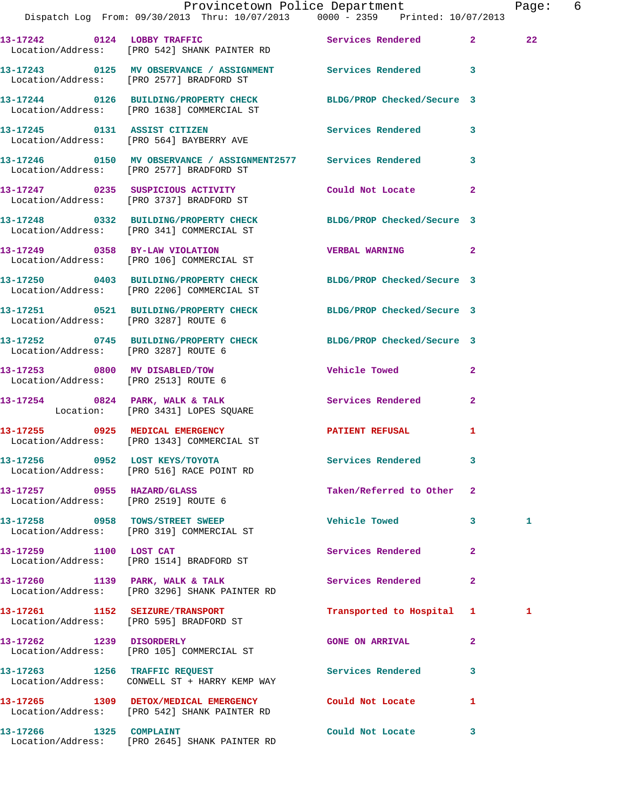|                                                                    | Dispatch Log From: 09/30/2013 Thru: 10/07/2013 0000 - 2359 Printed: 10/07/2013                                 | Provincetown Police Department           | Page: 6         |
|--------------------------------------------------------------------|----------------------------------------------------------------------------------------------------------------|------------------------------------------|-----------------|
|                                                                    | 13-17242 0124 LOBBY TRAFFIC Services Rendered 2<br>Location/Address: [PRO 542] SHANK PAINTER RD                |                                          | 22 <sub>2</sub> |
|                                                                    | 13-17243 0125 MV OBSERVANCE / ASSIGNMENT Services Rendered 3<br>Location/Address: [PRO 2577] BRADFORD ST       |                                          |                 |
|                                                                    | 13-17244 0126 BUILDING/PROPERTY CHECK BLDG/PROP Checked/Secure 3<br>Location/Address: [PRO 1638] COMMERCIAL ST |                                          |                 |
|                                                                    | 13-17245 0131 ASSIST CITIZEN Services Rendered 3<br>Location/Address: [PRO 564] BAYBERRY AVE                   |                                          |                 |
|                                                                    | 13-17246 0150 MV OBSERVANCE / ASSIGNMENT2577 Services Rendered 3<br>Location/Address: [PRO 2577] BRADFORD ST   |                                          |                 |
|                                                                    | 13-17247 0235 SUSPICIOUS ACTIVITY<br>Location/Address: [PRO 3737] BRADFORD ST                                  | Could Not Locate 2                       |                 |
|                                                                    | 13-17248 0332 BUILDING/PROPERTY CHECK BLDG/PROP Checked/Secure 3<br>Location/Address: [PRO 341] COMMERCIAL ST  |                                          |                 |
|                                                                    | 13-17249 0358 BY-LAW VIOLATION<br>Location/Address: [PRO 106] COMMERCIAL ST                                    | <b>VERBAL WARNING 2</b>                  |                 |
|                                                                    | 13-17250 0403 BUILDING/PROPERTY CHECK BLDG/PROP Checked/Secure 3<br>Location/Address: [PRO 2206] COMMERCIAL ST |                                          |                 |
| Location/Address: [PRO 3287] ROUTE 6                               | 13-17251 0521 BUILDING/PROPERTY CHECK BLDG/PROP Checked/Secure 3                                               |                                          |                 |
| Location/Address: [PRO 3287] ROUTE 6                               | 13-17252 0745 BUILDING/PROPERTY CHECK BLDG/PROP Checked/Secure 3                                               |                                          |                 |
| Location/Address: [PRO 2513] ROUTE 6                               | 13-17253 0800 MV DISABLED/TOW                                                                                  | Vehicle Towed<br>$\mathbf{2}$            |                 |
|                                                                    | $13-17254$ 0824 PARK, WALK & TALK<br>Location: [PRO 3431] LOPES SQUARE                                         | Services Rendered 2                      |                 |
|                                                                    | 13-17255 0925 MEDICAL EMERGENCY<br>Location/Address: [PRO 1343] COMMERCIAL ST                                  | PATIENT REFUSAL 1                        |                 |
|                                                                    | 13-17256 0952 LOST KEYS/TOYOTA<br>Location/Address: [PRO 516] RACE POINT RD                                    | Services Rendered                        |                 |
| 13-17257 0955 HAZARD/GLASS<br>Location/Address: [PRO 2519] ROUTE 6 |                                                                                                                | Taken/Referred to Other 2                |                 |
|                                                                    | 13-17258 0958 TOWS/STREET SWEEP<br>Location/Address: [PRO 319] COMMERCIAL ST                                   | <b>Vehicle Towed</b><br>$\mathbf{3}$     | 1               |
|                                                                    | 13-17259 1100 LOST CAT<br>Location/Address: [PRO 1514] BRADFORD ST                                             | <b>Services Rendered</b><br>$\mathbf{2}$ |                 |
|                                                                    | 13-17260 1139 PARK, WALK & TALK<br>Location/Address: [PRO 3296] SHANK PAINTER RD                               | Services Rendered<br>$\mathbf{2}$        |                 |
|                                                                    | 13-17261 1152 SEIZURE/TRANSPORT<br>Location/Address: [PRO 595] BRADFORD ST                                     | Transported to Hospital 1                | 1               |
| 13-17262 1239 DISORDERLY                                           | Location/Address: [PRO 105] COMMERCIAL ST                                                                      | <b>GONE ON ARRIVAL</b><br>$\mathbf{2}$   |                 |
|                                                                    | 13-17263 1256 TRAFFIC REQUEST<br>Location/Address: CONWELL ST + HARRY KEMP WAY                                 | Services Rendered<br>3                   |                 |
|                                                                    | 13-17265 1309 DETOX/MEDICAL EMERGENCY Could Not Locate<br>Location/Address: [PRO 542] SHANK PAINTER RD         | $\mathbf{1}$                             |                 |
| 13-17266 1325 COMPLAINT                                            |                                                                                                                | Could Not Locate 3                       |                 |

Location/Address: [PRO 2645] SHANK PAINTER RD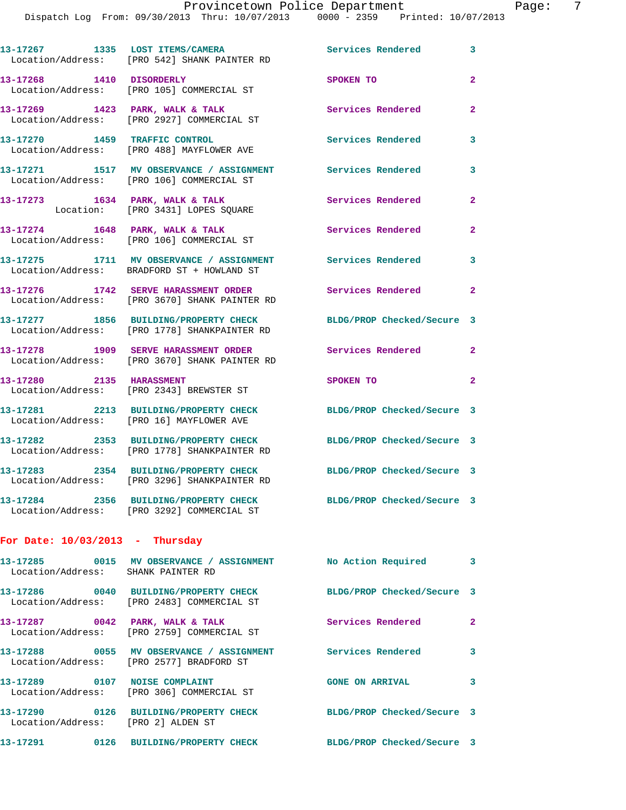|                                    | 13-17267 1335 LOST ITEMS/CAMERA<br>Location/Address: [PRO 542] SHANK PAINTER RD        | Services Rendered          | 3              |
|------------------------------------|----------------------------------------------------------------------------------------|----------------------------|----------------|
| 13-17268 1410 DISORDERLY           | Location/Address: [PRO 105] COMMERCIAL ST                                              | SPOKEN TO                  | $\overline{a}$ |
|                                    | 13-17269 1423 PARK, WALK & TALK<br>Location/Address: [PRO 2927] COMMERCIAL ST          | Services Rendered          | $\overline{a}$ |
|                                    | 13-17270 1459 TRAFFIC CONTROL<br>Location/Address: [PRO 488] MAYFLOWER AVE             | <b>Services Rendered</b>   | 3              |
|                                    | 13-17271 1517 MV OBSERVANCE / ASSIGNMENT<br>Location/Address: [PRO 106] COMMERCIAL ST  | <b>Services Rendered</b>   | 3              |
|                                    | 13-17273 1634 PARK, WALK & TALK<br>Location: [PRO 3431] LOPES SQUARE                   | Services Rendered          | $\overline{a}$ |
|                                    | 13-17274 1648 PARK, WALK & TALK<br>Location/Address: [PRO 106] COMMERCIAL ST           | Services Rendered          | $\overline{2}$ |
|                                    | 13-17275 1711 MV OBSERVANCE / ASSIGNMENT<br>Location/Address: BRADFORD ST + HOWLAND ST | Services Rendered          | 3              |
|                                    | 13-17276 1742 SERVE HARASSMENT ORDER<br>Location/Address: [PRO 3670] SHANK PAINTER RD  | Services Rendered          | $\overline{2}$ |
|                                    | 13-17277 1856 BUILDING/PROPERTY CHECK<br>Location/Address: [PRO 1778] SHANKPAINTER RD  | BLDG/PROP Checked/Secure 3 |                |
|                                    | 13-17278 1909 SERVE HARASSMENT ORDER<br>Location/Address: [PRO 3670] SHANK PAINTER RD  | Services Rendered          | $\overline{2}$ |
| 13-17280 2135 HARASSMENT           | Location/Address: [PRO 2343] BREWSTER ST                                               | SPOKEN TO                  | $\overline{a}$ |
|                                    | 13-17281 2213 BUILDING/PROPERTY CHECK<br>Location/Address: [PRO 16] MAYFLOWER AVE      | BLDG/PROP Checked/Secure 3 |                |
|                                    | 13-17282 2353 BUILDING/PROPERTY CHECK<br>Location/Address: [PRO 1778] SHANKPAINTER RD  | BLDG/PROP Checked/Secure 3 |                |
|                                    | 13-17283 2354 BUILDING/PROPERTY CHECK<br>Location/Address: [PRO 3296] SHANKPAINTER RD  | BLDG/PROP Checked/Secure 3 |                |
|                                    | 13-17284 2356 BUILDING/PROPERTY CHECK<br>Location/Address: [PRO 3292] COMMERCIAL ST    | BLDG/PROP Checked/Secure 3 |                |
| For Date: $10/03/2013$ - Thursday  |                                                                                        |                            |                |
| Location/Address: SHANK PAINTER RD | 13-17285 0015 MV OBSERVANCE / ASSIGNMENT                                               | No Action Required         | 3              |
|                                    | 13-17286 0040 BUILDING/PROPERTY CHECK<br>Location/Address: [PRO 2483] COMMERCIAL ST    | BLDG/PROP Checked/Secure 3 |                |
|                                    | 13-17287 0042 PARK, WALK & TALK<br>Location/Address: [PRO 2759] COMMERCIAL ST          | Services Rendered          | $\mathbf{2}$   |
|                                    | 13-17288 0055 MV OBSERVANCE / ASSIGNMENT<br>Location/Address: [PRO 2577] BRADFORD ST   | <b>Services Rendered</b>   | 3              |
|                                    | 13-17289 0107 NOISE COMPLAINT<br>Location/Address: [PRO 306] COMMERCIAL ST             | <b>GONE ON ARRIVAL</b>     | 3              |
| Location/Address: [PRO 2] ALDEN ST | 13-17290 0126 BUILDING/PROPERTY CHECK                                                  | BLDG/PROP Checked/Secure 3 |                |
|                                    | 13-17291 0126 BUILDING/PROPERTY CHECK                                                  | BLDG/PROP Checked/Secure 3 |                |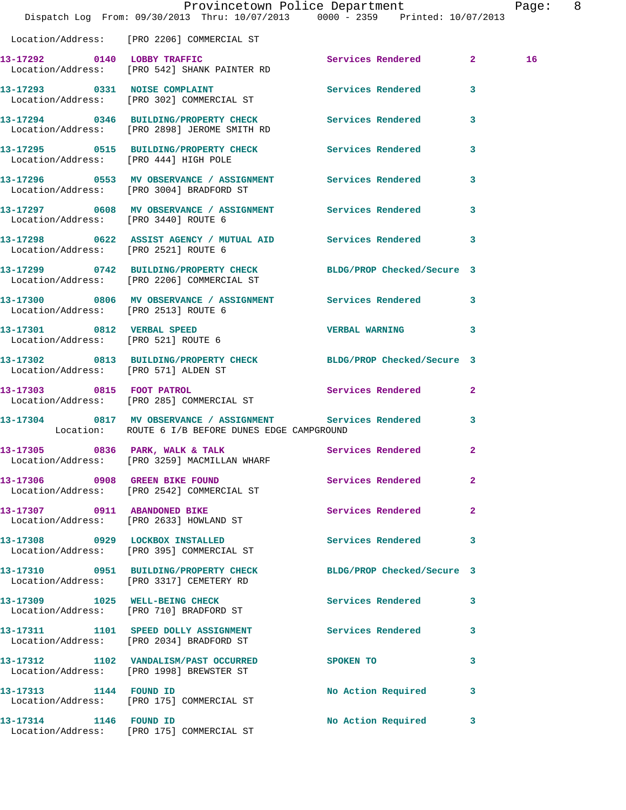|                                       | Dispatch Log From: 09/30/2013 Thru: 10/07/2013 0000 - 2359 Printed: 10/07/2013                                     | Provincetown Police Department |              | Page: 8 |  |
|---------------------------------------|--------------------------------------------------------------------------------------------------------------------|--------------------------------|--------------|---------|--|
|                                       | Location/Address: [PRO 2206] COMMERCIAL ST                                                                         |                                |              |         |  |
|                                       | 13-17292 0140 LOBBY TRAFFIC<br>Location/Address: [PRO 542] SHANK PAINTER RD                                        | Services Rendered 2            |              | 16      |  |
|                                       | 13-17293 0331 NOISE COMPLAINT Services Rendered 3<br>Location/Address: [PRO 302] COMMERCIAL ST                     |                                |              |         |  |
|                                       | 13-17294 0346 BUILDING/PROPERTY CHECK Services Rendered 3<br>Location/Address: [PRO 2898] JEROME SMITH RD          |                                |              |         |  |
| Location/Address: [PRO 444] HIGH POLE | 13-17295 0515 BUILDING/PROPERTY CHECK Services Rendered 3                                                          |                                |              |         |  |
|                                       | 13-17296 0553 MV OBSERVANCE / ASSIGNMENT Services Rendered 3<br>Location/Address: [PRO 3004] BRADFORD ST           |                                |              |         |  |
|                                       | 13-17297 0608 MV OBSERVANCE / ASSIGNMENT Services Rendered 3<br>Location/Address: [PRO 3440] ROUTE 6               |                                |              |         |  |
| Location/Address: [PRO 2521] ROUTE 6  | 13-17298 0622 ASSIST AGENCY / MUTUAL AID Services Rendered                                                         |                                | 3            |         |  |
|                                       | 13-17299 0742 BUILDING/PROPERTY CHECK BLDG/PROP Checked/Secure 3<br>Location/Address: [PRO 2206] COMMERCIAL ST     |                                |              |         |  |
| Location/Address: [PRO 2513] ROUTE 6  | 13-17300 0806 MV OBSERVANCE / ASSIGNMENT Services Rendered 3                                                       |                                |              |         |  |
|                                       | 13-17301 0812 VERBAL SPEED<br>Location/Address: [PRO 521] ROUTE 6                                                  | <b>VERBAL WARNING</b> 3        |              |         |  |
| Location/Address: [PRO 571] ALDEN ST  | 13-17302 0813 BUILDING/PROPERTY CHECK BLDG/PROP Checked/Secure 3                                                   |                                |              |         |  |
|                                       | 13-17303 0815 FOOT PATROL<br>Location/Address: [PRO 285] COMMERCIAL ST                                             | Services Rendered 2            |              |         |  |
|                                       | 13-17304 0817 MV OBSERVANCE / ASSIGNMENT Services Rendered 3<br>Location: ROUTE 6 I/B BEFORE DUNES EDGE CAMPGROUND |                                |              |         |  |
|                                       | 13-17305 0836 PARK, WALK & TALK 6 Services Rendered 2<br>Location/Address: [PRO 3259] MACMILLAN WHARF              |                                |              |         |  |
| 13-17306 0908 GREEN BIKE FOUND        | Location/Address: [PRO 2542] COMMERCIAL ST                                                                         | Services Rendered              | $\mathbf{2}$ |         |  |
|                                       | 13-17307 0911 ABANDONED BIKE<br>Location/Address: [PRO 2633] HOWLAND ST                                            | Services Rendered              | $\mathbf{2}$ |         |  |
|                                       | 13-17308 0929 LOCKBOX INSTALLED<br>Location/Address: [PRO 395] COMMERCIAL ST                                       | Services Rendered              | 3            |         |  |
|                                       | 13-17310 0951 BUILDING/PROPERTY CHECK<br>Location/Address: [PRO 3317] CEMETERY RD                                  | BLDG/PROP Checked/Secure 3     |              |         |  |
|                                       | 13-17309 1025 WELL-BEING CHECK<br>Location/Address: [PRO 710] BRADFORD ST                                          | Services Rendered              | 3            |         |  |
|                                       | 13-17311 1101 SPEED DOLLY ASSIGNMENT<br>Location/Address: [PRO 2034] BRADFORD ST                                   | <b>Services Rendered</b>       | 3            |         |  |
|                                       | 13-17312 1102 VANDALISM/PAST OCCURRED<br>Location/Address: [PRO 1998] BREWSTER ST                                  | SPOKEN TO                      | 3            |         |  |
| 13-17313 1144 FOUND ID                | Location/Address: [PRO 175] COMMERCIAL ST                                                                          | No Action Required             | 3            |         |  |
| 13-17314 1146 FOUND ID                | Location/Address: [PRO 175] COMMERCIAL ST                                                                          | No Action Required             | 3            |         |  |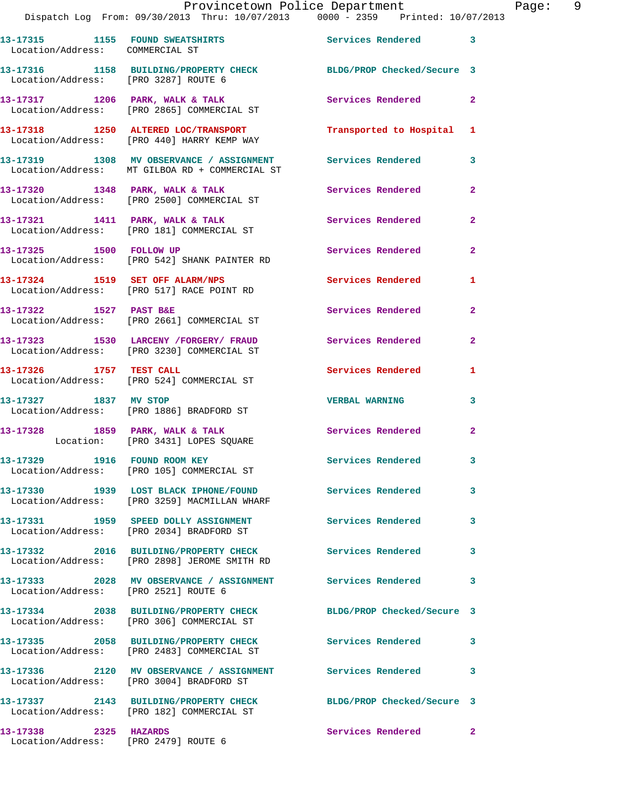Dispatch Log From: 09/30/2013 Thru: 10/07/2013 0000 - 2359 Printed: 10/07/2013 **13-17315 1155 FOUND SWEATSHIRTS Services Rendered 3**  Location/Address: COMMERCIAL ST **13-17316 1158 BUILDING/PROPERTY CHECK BLDG/PROP Checked/Secure 3**  Location/Address: [PRO 3287] ROUTE 6 **13-17317 1206 PARK, WALK & TALK Services Rendered 2**  Location/Address: [PRO 2865] COMMERCIAL ST **13-17318 1250 ALTERED LOC/TRANSPORT Transported to Hospital 1**  Location/Address: [PRO 440] HARRY KEMP WAY **13-17319 1308 MV OBSERVANCE / ASSIGNMENT Services Rendered 3**  Location/Address: MT GILBOA RD + COMMERCIAL ST **13-17320 1348 PARK, WALK & TALK Services Rendered 2**  Location/Address: [PRO 2500] COMMERCIAL ST 13-17321 1411 PARK, WALK & TALK **Services Rendered** 2 Location/Address: [PRO 181] COMMERCIAL ST **13-17325 1500 FOLLOW UP Services Rendered 2**  Location/Address: [PRO 542] SHANK PAINTER RD **13-17324 1519 SET OFF ALARM/NPS Services Rendered 1**  Location/Address: [PRO 517] RACE POINT RD **13-17322 1527 PAST B&E Services Rendered 2**  Location/Address: [PRO 2661] COMMERCIAL ST **13-17323 1530 LARCENY /FORGERY/ FRAUD Services Rendered 2**  Location/Address: [PRO 3230] COMMERCIAL ST **13-17326 1757 TEST CALL Services Rendered 1**  Location/Address: [PRO 524] COMMERCIAL ST **13-17327 1837 MV STOP VERBAL WARNING 3**  Location/Address: [PRO 1886] BRADFORD ST 13-17328 1859 PARK, WALK & TALK **1868 Services Rendered** 2 Location: [PRO 3431] LOPES SQUARE 13-17329 1916 FOUND ROOM KEY **Services Rendered** 3 Location/Address: [PRO 105] COMMERCIAL ST **13-17330 1939 LOST BLACK IPHONE/FOUND Services Rendered 3**  Location/Address: [PRO 3259] MACMILLAN WHARF **13-17331 1959 SPEED DOLLY ASSIGNMENT Services Rendered 3**  Location/Address: [PRO 2034] BRADFORD ST **13-17332 2016 BUILDING/PROPERTY CHECK Services Rendered 3**  Location/Address: [PRO 2898] JEROME SMITH RD **13-17333 2028 MV OBSERVANCE / ASSIGNMENT Services Rendered 3**  Location/Address: [PRO 2521] ROUTE 6 **13-17334 2038 BUILDING/PROPERTY CHECK BLDG/PROP Checked/Secure 3**  Location/Address: [PRO 306] COMMERCIAL ST **13-17335 2058 BUILDING/PROPERTY CHECK Services Rendered 3**  Location/Address: [PRO 2483] COMMERCIAL ST **13-17336 2120 MV OBSERVANCE / ASSIGNMENT Services Rendered 3**  Location/Address: [PRO 3004] BRADFORD ST

**13-17337 2143 BUILDING/PROPERTY CHECK BLDG/PROP Checked/Secure 3**  Location/Address: [PRO 182] COMMERCIAL ST **13-17338 2325 HAZARDS Services Rendered 2** 

Location/Address: [PRO 2479] ROUTE 6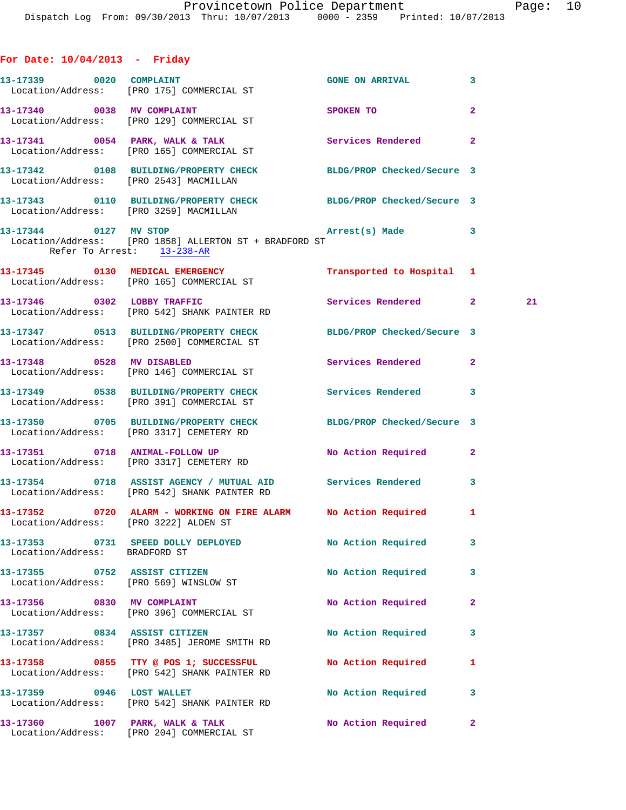|  |  | For Date: 10/04/2013 |  | Friday |
|--|--|----------------------|--|--------|
|--|--|----------------------|--|--------|

|                                                                        | 13-17339 0020 COMPLAINT<br>Location/Address: [PRO 175] COMMERCIAL ST                                                                                   | GONE ON ARRIVAL 3         |                |    |
|------------------------------------------------------------------------|--------------------------------------------------------------------------------------------------------------------------------------------------------|---------------------------|----------------|----|
|                                                                        | 13-17340 0038 MV COMPLAINT                                                                                                                             | SPOKEN TO                 | $\overline{2}$ |    |
|                                                                        | Location/Address: [PRO 129] COMMERCIAL ST<br>13-17341 0054 PARK, WALK & TALK 1999 Services Rendered 2                                                  |                           |                |    |
|                                                                        | Location/Address: [PRO 165] COMMERCIAL ST<br>13-17342 0108 BUILDING/PROPERTY CHECK BLDG/PROP Checked/Secure 3                                          |                           |                |    |
|                                                                        | Location/Address: [PRO 2543] MACMILLAN<br>13-17343 0110 BUILDING/PROPERTY CHECK BLDG/PROP Checked/Secure 3                                             |                           |                |    |
|                                                                        | Location/Address: [PRO 3259] MACMILLAN<br>13-17344 0127 MV STOP 2008 Arrest(s) Made 3<br>---<br>Location/Address: [PRO 1858] ALLERTON ST + BRADFORD ST |                           |                |    |
| Refer To Arrest: 13-238-AR                                             |                                                                                                                                                        |                           |                |    |
|                                                                        | 13-17345 0130 MEDICAL EMERGENCY<br>Location/Address: [PRO 165] COMMERCIAL ST                                                                           | Transported to Hospital 1 |                |    |
|                                                                        | 13-17346 0302 LOBBY TRAFFIC<br>Location/Address: [PRO 542] SHANK PAINTER RD                                                                            | Services Rendered 2       |                | 21 |
|                                                                        | 13-17347 0513 BUILDING/PROPERTY CHECK BLDG/PROP Checked/Secure 3<br>Location/Address: [PRO 2500] COMMERCIAL ST                                         |                           |                |    |
| 13-17348 0528 MV DISABLED                                              | Location/Address: [PRO 146] COMMERCIAL ST                                                                                                              | Services Rendered 2       |                |    |
|                                                                        | 13-17349 0538 BUILDING/PROPERTY CHECK Services Rendered 3<br>Location/Address: [PRO 391] COMMERCIAL ST                                                 |                           |                |    |
|                                                                        | 13-17350 0705 BUILDING/PROPERTY CHECK BLDG/PROP Checked/Secure 3<br>Location/Address: [PRO 3317] CEMETERY RD                                           |                           |                |    |
|                                                                        | 13-17351 0718 ANIMAL-FOLLOW UP<br>Location/Address: [PRO 3317] CEMETERY RD                                                                             | No Action Required 2      |                |    |
|                                                                        | 13-17354 0718 ASSIST AGENCY / MUTUAL AID Services Rendered 3<br>Location/Address: [PRO 542] SHANK PAINTER RD                                           |                           |                |    |
| Location/Address: [PRO 3222] ALDEN ST                                  | 13-17352 0720 ALARM - WORKING ON FIRE ALARM NO Action Required 1                                                                                       |                           |                |    |
| Location/Address: BRADFORD ST                                          | 13-17353 0731 SPEED DOLLY DEPLOYED                                                                                                                     | No Action Required        | 3              |    |
| 13-17355 0752 ASSIST CITIZEN<br>Location/Address: [PRO 569] WINSLOW ST |                                                                                                                                                        | No Action Required        | 3              |    |
| 13-17356 0830 MV COMPLAINT                                             | Location/Address: [PRO 396] COMMERCIAL ST                                                                                                              | No Action Required        | $\mathbf{2}$   |    |
| 13-17357 0834 ASSIST CITIZEN                                           | Location/Address: [PRO 3485] JEROME SMITH RD                                                                                                           | No Action Required        | з              |    |
|                                                                        | 13-17358 0855 TTY @ POS 1; SUCCESSFUL<br>Location/Address: [PRO 542] SHANK PAINTER RD                                                                  | No Action Required        | 1              |    |
| 13-17359 0946 LOST WALLET                                              | Location/Address: [PRO 542] SHANK PAINTER RD                                                                                                           | No Action Required        | 3              |    |
| 13-17360                                                               | 1007 PARK, WALK & TALK<br>Location/Address: [PRO 204] COMMERCIAL ST                                                                                    | No Action Required        | 2              |    |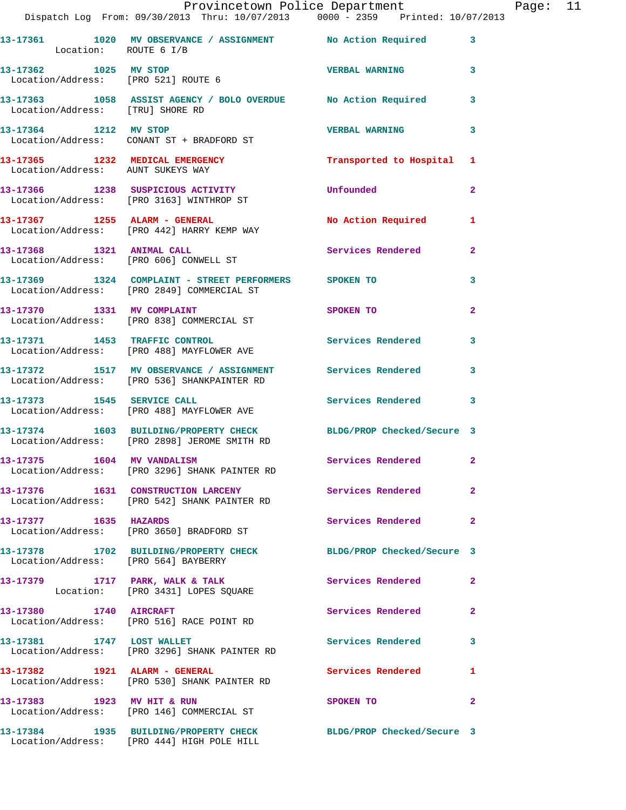|                                                                      | IIOVINCCCOWN LOILCC DOPULCINONC<br>Dispatch Log From: 09/30/2013 Thru: 10/07/2013 0000 - 2359 Printed: 10/07/2013 |                            |                |
|----------------------------------------------------------------------|-------------------------------------------------------------------------------------------------------------------|----------------------------|----------------|
| Location: ROUTE 6 I/B                                                | 13-17361 1020 MV OBSERVANCE / ASSIGNMENT No Action Required                                                       |                            | 3              |
| 13-17362 1025 MV STOP                                                | Location/Address: [PRO 521] ROUTE 6                                                                               | <b>VERBAL WARNING</b>      | 3              |
| Location/Address: [TRU] SHORE RD                                     | 13-17363 1058 ASSIST AGENCY / BOLO OVERDUE No Action Required                                                     |                            | 3              |
| 13-17364 1212 MV STOP                                                | Location/Address: CONANT ST + BRADFORD ST                                                                         | <b>VERBAL WARNING</b>      | 3              |
| 13-17365 1232 MEDICAL EMERGENCY<br>Location/Address: AUNT SUKEYS WAY |                                                                                                                   | Transported to Hospital    | 1              |
|                                                                      | 13-17366 1238 SUSPICIOUS ACTIVITY<br>Location/Address: [PRO 3163] WINTHROP ST                                     | Unfounded                  | $\mathbf{2}$   |
|                                                                      | 13-17367 1255 ALARM - GENERAL<br>Location/Address: [PRO 442] HARRY KEMP WAY                                       | <b>No Action Required</b>  | 1              |
| 13-17368 1321 ANIMAL CALL                                            | Location/Address: [PRO 606] CONWELL ST                                                                            | <b>Services Rendered</b>   | $\overline{a}$ |
|                                                                      | 13-17369 1324 COMPLAINT - STREET PERFORMERS SPOKEN TO<br>Location/Address: [PRO 2849] COMMERCIAL ST               |                            | 3              |
| 13-17370 1331 MV COMPLAINT                                           | Location/Address: [PRO 838] COMMERCIAL ST                                                                         | SPOKEN TO                  | $\overline{2}$ |
|                                                                      | 13-17371 1453 TRAFFIC CONTROL<br>Location/Address: [PRO 488] MAYFLOWER AVE                                        | <b>Services Rendered</b>   | 3              |
|                                                                      | 13-17372 1517 MV OBSERVANCE / ASSIGNMENT Services Rendered<br>Location/Address: [PRO 536] SHANKPAINTER RD         |                            | 3              |
|                                                                      | 13-17373 1545 SERVICE CALL<br>Location/Address: [PRO 488] MAYFLOWER AVE                                           | Services Rendered          | 3              |
|                                                                      | 13-17374 1603 BUILDING/PROPERTY CHECK<br>Location/Address: [PRO 2898] JEROME SMITH RD                             | BLDG/PROP Checked/Secure 3 |                |
| 13-17375 1604 MV VANDALISM                                           | Location/Address: [PRO 3296] SHANK PAINTER RD                                                                     | Services Rendered 2        |                |
|                                                                      | 13-17376 1631 CONSTRUCTION LARCENY<br>Location/Address: [PRO 542] SHANK PAINTER RD                                | Services Rendered          | $\overline{2}$ |
| 13-17377 1635 HAZARDS                                                | Location/Address: [PRO 3650] BRADFORD ST                                                                          | <b>Services Rendered</b>   | $\mathbf{2}$   |
| Location/Address: [PRO 564] BAYBERRY                                 | 13-17378 1702 BUILDING/PROPERTY CHECK BLDG/PROP Checked/Secure 3                                                  |                            |                |
|                                                                      | 13-17379 1717 PARK, WALK & TALK<br>Location: [PRO 3431] LOPES SQUARE                                              | Services Rendered          | $\mathbf{2}$   |
| 13-17380 1740 AIRCRAFT                                               | Location/Address: [PRO 516] RACE POINT RD                                                                         | Services Rendered          | $\overline{2}$ |
| 13-17381 1747 LOST WALLET                                            | Location/Address: [PRO 3296] SHANK PAINTER RD                                                                     | <b>Services Rendered</b>   | 3              |
| 13-17382 1921 ALARM - GENERAL                                        | Location/Address: [PRO 530] SHANK PAINTER RD                                                                      | Services Rendered          | 1              |
|                                                                      | 13-17383 1923 MV HIT & RUN<br>Location/Address: [PRO 146] COMMERCIAL ST                                           | SPOKEN TO                  | $\overline{2}$ |
|                                                                      | 13-17384 1935 BUILDING/PROPERTY CHECK<br>Location/Address: [PRO 444] HIGH POLE HILL                               | BLDG/PROP Checked/Secure 3 |                |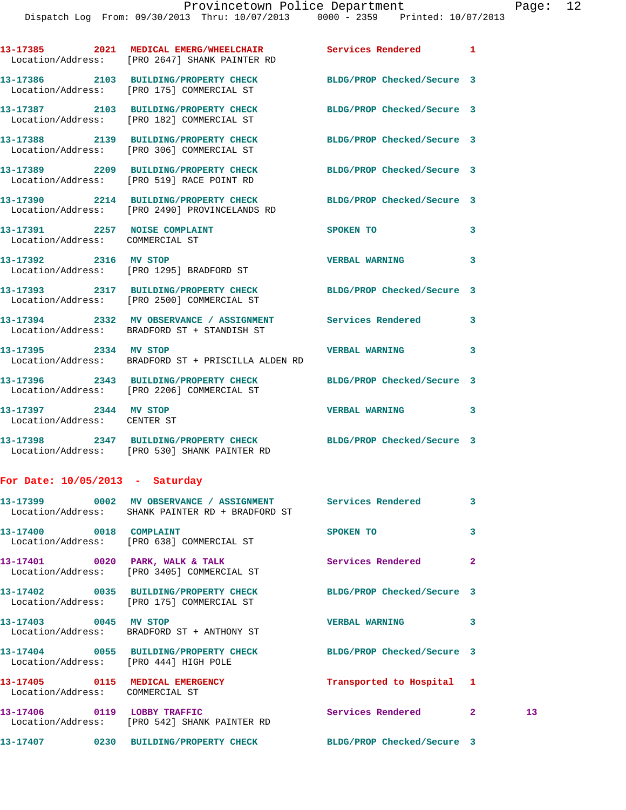**13-17385 2021 MEDICAL EMERG/WHEELCHAIR Services Rendered 1** 

Location/Address: [PRO 2647] SHANK PAINTER RD

|                                                      | 13-17386 2103 BUILDING/PROPERTY CHECK BLDG/PROP Checked/Secure 3<br>Location/Address: [PRO 175] COMMERCIAL ST    |                            |              |    |
|------------------------------------------------------|------------------------------------------------------------------------------------------------------------------|----------------------------|--------------|----|
|                                                      | 13-17387 2103 BUILDING/PROPERTY CHECK BLDG/PROP Checked/Secure 3<br>Location/Address: [PRO 182] COMMERCIAL ST    |                            |              |    |
|                                                      | 13-17388 2139 BUILDING/PROPERTY CHECK<br>Location/Address: [PRO 306] COMMERCIAL ST                               | BLDG/PROP Checked/Secure 3 |              |    |
|                                                      | 13-17389 2209 BUILDING/PROPERTY CHECK<br>Location/Address: [PRO 519] RACE POINT RD                               | BLDG/PROP Checked/Secure 3 |              |    |
|                                                      | 13-17390 2214 BUILDING/PROPERTY CHECK<br>Location/Address: [PRO 2490] PROVINCELANDS RD                           | BLDG/PROP Checked/Secure 3 |              |    |
| Location/Address: COMMERCIAL ST                      | 13-17391 2257 NOISE COMPLAINT                                                                                    | SPOKEN TO                  | 3            |    |
|                                                      | 13-17392 2316 MV STOP<br>Location/Address: [PRO 1295] BRADFORD ST                                                | VERBAL WARNING 3           |              |    |
|                                                      | 13-17393 2317 BUILDING/PROPERTY CHECK BLDG/PROP Checked/Secure 3<br>Location/Address: [PRO 2500] COMMERCIAL ST   |                            |              |    |
|                                                      | 13-17394 2332 MV OBSERVANCE / ASSIGNMENT Services Rendered 3<br>Location/Address: BRADFORD ST + STANDISH ST      |                            |              |    |
|                                                      | 13-17395 2334 MV STOP<br>Location/Address: BRADFORD ST + PRISCILLA ALDEN RD                                      | <b>VERBAL WARNING</b>      | 3            |    |
|                                                      | 13-17396 2343 BUILDING/PROPERTY CHECK BLDG/PROP Checked/Secure 3<br>Location/Address: [PRO 2206] COMMERCIAL ST   |                            |              |    |
| 13-17397 2344 MV STOP<br>Location/Address: CENTER ST |                                                                                                                  | <b>VERBAL WARNING</b>      | 3            |    |
|                                                      | 13-17398 2347 BUILDING/PROPERTY CHECK BLDG/PROP Checked/Secure 3<br>Location/Address: [PRO 530] SHANK PAINTER RD |                            |              |    |
| For Date: $10/05/2013$ - Saturday                    |                                                                                                                  |                            |              |    |
|                                                      | 13-17399 0002 MV OBSERVANCE / ASSIGNMENT Services Rendered 3<br>Location/Address: SHANK PAINTER RD + BRADFORD ST |                            |              |    |
| 13-17400 0018 COMPLAINT                              | Location/Address: [PRO 638] COMMERCIAL ST                                                                        | SPOKEN TO                  | 3            |    |
|                                                      | 13-17401 0020 PARK, WALK & TALK<br>Location/Address: [PRO 3405] COMMERCIAL ST                                    | <b>Services Rendered</b>   | $\mathbf{2}$ |    |
|                                                      | 13-17402 0035 BUILDING/PROPERTY CHECK<br>Location/Address: [PRO 175] COMMERCIAL ST                               | BLDG/PROP Checked/Secure 3 |              |    |
| 13-17403 0045 MV STOP                                | Location/Address: BRADFORD ST + ANTHONY ST                                                                       | <b>VERBAL WARNING</b>      | 3            |    |
|                                                      | 13-17404 0055 BUILDING/PROPERTY CHECK<br>Location/Address: [PRO 444] HIGH POLE                                   | BLDG/PROP Checked/Secure 3 |              |    |
| Location/Address: COMMERCIAL ST                      | 13-17405 0115 MEDICAL EMERGENCY                                                                                  | Transported to Hospital 1  |              |    |
|                                                      | 13-17406 0119 LOBBY TRAFFIC<br>Location/Address: [PRO 542] SHANK PAINTER RD                                      | Services Rendered 2        |              | 13 |
|                                                      | 13-17407 0230 BUILDING/PROPERTY CHECK BLDG/PROP Checked/Secure 3                                                 |                            |              |    |
|                                                      |                                                                                                                  |                            |              |    |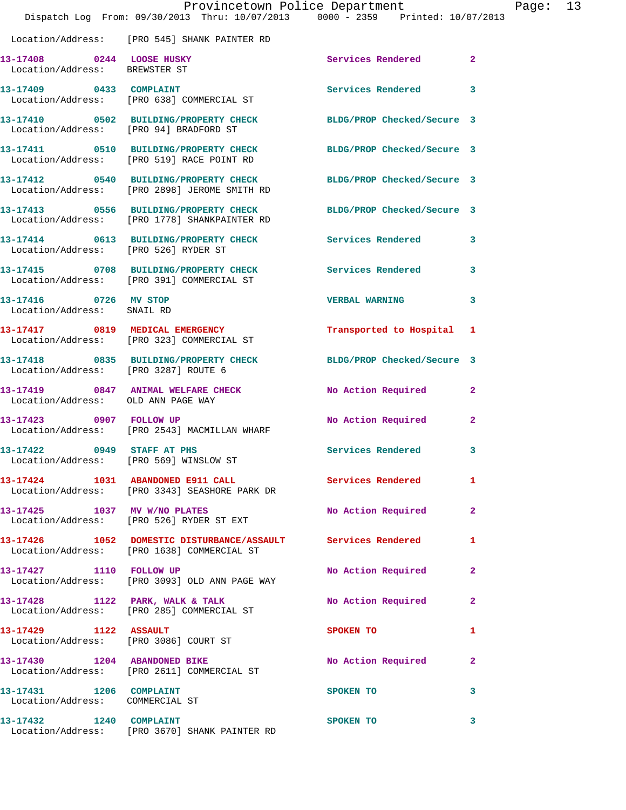|                                                                      | Provincetown Police Department<br>Dispatch Log From: 09/30/2013 Thru: 10/07/2013 0000 - 2359 Printed: 10/07/2013 |                            |              | Page: 13 |  |
|----------------------------------------------------------------------|------------------------------------------------------------------------------------------------------------------|----------------------------|--------------|----------|--|
|                                                                      | Location/Address: [PRO 545] SHANK PAINTER RD                                                                     |                            |              |          |  |
| 13-17408 0244 LOOSE HUSKY<br>Location/Address: BREWSTER ST           |                                                                                                                  | Services Rendered          | $\mathbf{2}$ |          |  |
|                                                                      | 13-17409 0433 COMPLAINT<br>Location/Address: [PRO 638] COMMERCIAL ST                                             | Services Rendered          | $\mathbf{3}$ |          |  |
|                                                                      | 13-17410 0502 BUILDING/PROPERTY CHECK BLDG/PROP Checked/Secure 3<br>Location/Address: [PRO 94] BRADFORD ST       |                            |              |          |  |
|                                                                      | 13-17411 0510 BUILDING/PROPERTY CHECK<br>Location/Address: [PRO 519] RACE POINT RD                               | BLDG/PROP Checked/Secure 3 |              |          |  |
|                                                                      | 13-17412 0540 BUILDING/PROPERTY CHECK<br>Location/Address: [PRO 2898] JEROME SMITH RD                            | BLDG/PROP Checked/Secure 3 |              |          |  |
|                                                                      | 13-17413 0556 BUILDING/PROPERTY CHECK BLDG/PROP Checked/Secure 3<br>Location/Address: [PRO 1778] SHANKPAINTER RD |                            |              |          |  |
| Location/Address: [PRO 526] RYDER ST                                 | 13-17414 0613 BUILDING/PROPERTY CHECK Services Rendered 3                                                        |                            |              |          |  |
|                                                                      | 13-17415 0708 BUILDING/PROPERTY CHECK Services Rendered<br>Location/Address: [PRO 391] COMMERCIAL ST             |                            | 3            |          |  |
| 13-17416 0726 MV STOP<br>Location/Address: SNAIL RD                  |                                                                                                                  | VERBAL WARNING 3           |              |          |  |
|                                                                      | 13-17417 0819 MEDICAL EMERGENCY<br>Location/Address: [PRO 323] COMMERCIAL ST                                     | Transported to Hospital 1  |              |          |  |
| Location/Address: [PRO 3287] ROUTE 6                                 | 13-17418 0835 BUILDING/PROPERTY CHECK BLDG/PROP Checked/Secure 3                                                 |                            |              |          |  |
| Location/Address: OLD ANN PAGE WAY                                   | 13-17419 0847 ANIMAL WELFARE CHECK                                                                               | No Action Required         | 2            |          |  |
| 13-17423 0907 FOLLOW UP                                              | Location/Address: [PRO 2543] MACMILLAN WHARF                                                                     | No Action Required         | $\mathbf{2}$ |          |  |
| 13-17422 0949 STAFF AT PHS<br>Location/Address: [PRO 569] WINSLOW ST |                                                                                                                  | <b>Services Rendered</b>   | 3            |          |  |
|                                                                      | 13-17424 1031 ABANDONED E911 CALL<br>Location/Address: [PRO 3343] SEASHORE PARK DR                               | <b>Services Rendered</b>   | $\mathbf{1}$ |          |  |
|                                                                      | 13-17425 1037 MV W/NO PLATES<br>Location/Address: [PRO 526] RYDER ST EXT                                         | No Action Required         | 2            |          |  |
|                                                                      | 13-17426 1052 DOMESTIC DISTURBANCE/ASSAULT Services Rendered<br>Location/Address: [PRO 1638] COMMERCIAL ST       |                            | 1            |          |  |
|                                                                      | 13-17427 1110 FOLLOW UP<br>Location/Address: [PRO 3093] OLD ANN PAGE WAY                                         | No Action Required         | $\mathbf{2}$ |          |  |
|                                                                      | 13-17428 1122 PARK, WALK & TALK<br>Location/Address: [PRO 285] COMMERCIAL ST                                     | No Action Required         | $\mathbf{2}$ |          |  |
| 13-17429 1122 ASSAULT                                                | Location/Address: [PRO 3086] COURT ST                                                                            | SPOKEN TO                  | 1            |          |  |
| 13-17430 1204 ABANDONED BIKE                                         | Location/Address: [PRO 2611] COMMERCIAL ST                                                                       | No Action Required         | $\mathbf{2}$ |          |  |
| 13-17431 1206 COMPLAINT<br>Location/Address: COMMERCIAL ST           |                                                                                                                  | SPOKEN TO                  | 3            |          |  |
| 13-17432 1240 COMPLAINT                                              | Location/Address: [PRO 3670] SHANK PAINTER RD                                                                    | SPOKEN TO                  | 3            |          |  |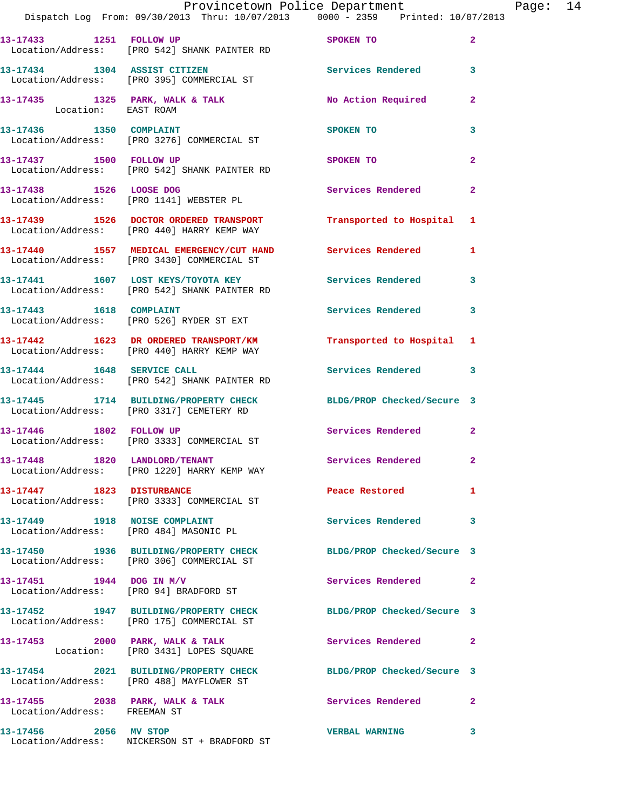|                               | Provincetown Police Department Fage: 14<br>Dispatch Log From: 09/30/2013 Thru: 10/07/2013 0000 - 2359 Printed: 10/07/2013 |                             |              |  |
|-------------------------------|---------------------------------------------------------------------------------------------------------------------------|-----------------------------|--------------|--|
|                               | 13-17433 1251 FOLLOW UP SPOKEN TO<br>Location/Address: [PRO 542] SHANK PAINTER RD                                         |                             | $\mathbf{2}$ |  |
|                               | 13-17434 1304 ASSIST CITIZEN 130 Services Rendered 3<br>Location/Address: [PRO 395] COMMERCIAL ST                         |                             |              |  |
|                               | 13-17435 1325 PARK, WALK & TALK No Action Required Location: EAST ROAM                                                    |                             | $\mathbf{2}$ |  |
|                               |                                                                                                                           |                             | 3            |  |
|                               | 13-17437 1500 FOLLOW UP<br>Location/Address: [PRO 542] SHANK PAINTER RD                                                   | SPOKEN TO                   | $\mathbf{2}$ |  |
|                               | 13-17438 1526 LOOSE DOG<br>Location/Address: [PRO 1141] WEBSTER PL                                                        | Services Rendered           | $\mathbf{2}$ |  |
|                               | 13-17439 1526 DOCTOR ORDERED TRANSPORT Transported to Hospital 1<br>Location/Address: [PRO 440] HARRY KEMP WAY            |                             |              |  |
|                               | 13-17440 1557 MEDICAL EMERGENCY/CUT HAND Services Rendered<br>Location/Address: [PRO 3430] COMMERCIAL ST                  |                             | 1            |  |
|                               | 13-17441 1607 LOST KEYS/TOYOTA KEY Services Rendered 3<br>Location/Address: [PRO 542] SHANK PAINTER RD                    |                             |              |  |
|                               | 13-17443    1618    COMPLAINT<br>Location/Address: [PRO 526] RYDER ST EXT                                                 | <b>Services Rendered</b>    | 3            |  |
|                               | 13-17442 1623 DR ORDERED TRANSPORT/KM Transported to Hospital 1<br>Location/Address: [PRO 440] HARRY KEMP WAY             |                             |              |  |
|                               | 13-17444 1648 SERVICE CALL<br>Location/Address: [PRO 542] SHANK PAINTER RD                                                | Services Rendered           | 3            |  |
|                               | 13-17445 1714 BUILDING/PROPERTY CHECK BLDG/PROP Checked/Secure 3<br>Location/Address: [PRO 3317] CEMETERY RD              |                             |              |  |
|                               | 13-17446 1802 FOLLOW UP<br>Location/Address: [PRO 3333] COMMERCIAL ST                                                     | Services Rendered 2         |              |  |
|                               | 13-17448 1820 LANDLORD/TENANT Services Rendered<br>Location/Address: [PRO 1220] HARRY KEMP WAY                            |                             |              |  |
| 13-17447 1823 DISTURBANCE     | Location/Address: [PRO 3333] COMMERCIAL ST                                                                                | Peace Restored <b>Seaps</b> | $\mathbf{1}$ |  |
| 13-17449 1918 NOISE COMPLAINT | Location/Address: [PRO 484] MASONIC PL                                                                                    | <b>Services Rendered</b>    | $\mathbf{3}$ |  |
|                               | 13-17450 1936 BUILDING/PROPERTY CHECK BLDG/PROP Checked/Secure 3<br>Location/Address: [PRO 306] COMMERCIAL ST             |                             |              |  |
| 13-17451 1944 DOG IN M/V      | Location/Address: [PRO 94] BRADFORD ST                                                                                    | Services Rendered 2         |              |  |
|                               | 13-17452 1947 BUILDING/PROPERTY CHECK<br>Location/Address: [PRO 175] COMMERCIAL ST                                        | BLDG/PROP Checked/Secure 3  |              |  |
|                               | 13-17453 2000 PARK, WALK & TALK<br>Location: [PRO 3431] LOPES SQUARE                                                      | Services Rendered 2         |              |  |
|                               | 13-17454 2021 BUILDING/PROPERTY CHECK BLDG/PROP Checked/Secure 3<br>Location/Address: [PRO 488] MAYFLOWER ST              |                             |              |  |
| Location/Address: FREEMAN ST  | 13-17455 2038 PARK, WALK & TALK 2008 Services Rendered                                                                    |                             | 2            |  |
|                               | 13-17456 2056 MV STOP<br>Location/Address: NICKERSON ST + BRADFORD ST                                                     | <b>VERBAL WARNING</b>       | 3            |  |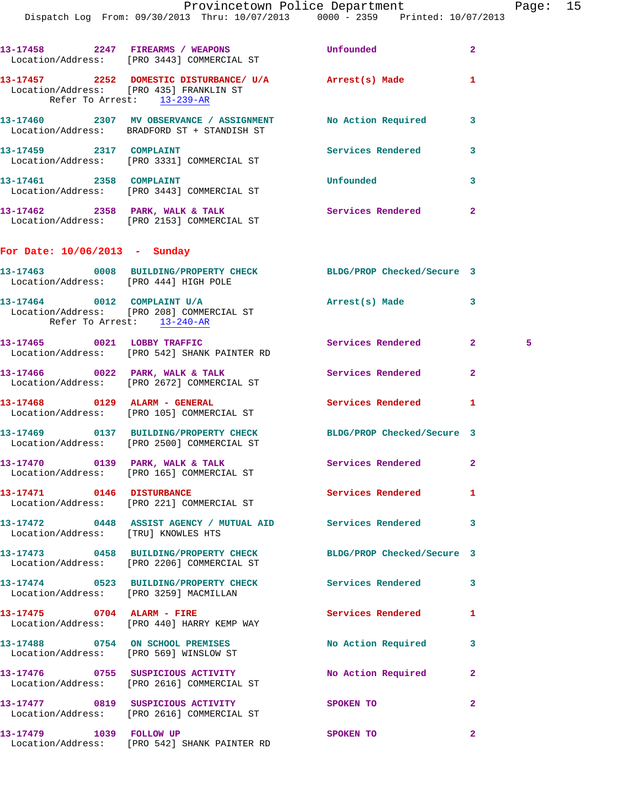|                                        | 13-17458 2247 FIREARMS / WEAPONS<br>Location/Address: [PRO 3443] COMMERCIAL ST                             | Unfounded                  | $\mathbf{2}$        |
|----------------------------------------|------------------------------------------------------------------------------------------------------------|----------------------------|---------------------|
| Refer To Arrest: 13-239-AR             | 13-17457 2252 DOMESTIC DISTURBANCE/ U/A Arrest(s) Made<br>Location/Address: [PRO 435] FRANKLIN ST          |                            | 1                   |
|                                        | 13-17460 2307 MV OBSERVANCE / ASSIGNMENT NO Action Required<br>Location/Address: BRADFORD ST + STANDISH ST |                            | 3                   |
|                                        | 13-17459 2317 COMPLAINT<br>Location/Address: [PRO 3331] COMMERCIAL ST                                      | Services Rendered          | 3                   |
| 13-17461 2358 COMPLAINT                | Location/Address: [PRO 3443] COMMERCIAL ST                                                                 | Unfounded                  | 3                   |
|                                        | 13-17462 2358 PARK, WALK & TALK<br>Location/Address: [PRO 2153] COMMERCIAL ST                              | Services Rendered          | $\overline{a}$      |
| For Date: 10/06/2013 - Sunday          |                                                                                                            |                            |                     |
| Location/Address: [PRO 444] HIGH POLE  | 13-17463 0008 BUILDING/PROPERTY CHECK BLDG/PROP Checked/Secure 3                                           |                            |                     |
| Refer To Arrest: 13-240-AR             | 13-17464 0012 COMPLAINT U/A<br>Location/Address: [PRO 208] COMMERCIAL ST                                   | Arrest(s) Made             | 3                   |
|                                        | 13-17465 0021 LOBBY TRAFFIC<br>Location/Address: [PRO 542] SHANK PAINTER RD                                | Services Rendered          | 2 <sup>1</sup><br>5 |
|                                        | 13-17466 0022 PARK, WALK & TALK<br>Location/Address: [PRO 2672] COMMERCIAL ST                              | Services Rendered          | $\overline{a}$      |
| 13-17468 0129 ALARM - GENERAL          | Location/Address: [PRO 105] COMMERCIAL ST                                                                  | Services Rendered          | 1                   |
|                                        | 13-17469 0137 BUILDING/PROPERTY CHECK<br>Location/Address: [PRO 2500] COMMERCIAL ST                        | BLDG/PROP Checked/Secure 3 |                     |
|                                        | 13-17470 0139 PARK, WALK & TALK<br>Location/Address: [PRO 165] COMMERCIAL ST                               | Services Rendered          | $\mathbf{2}$        |
| 13-17471 0146 DISTURBANCE              | Location/Address: [PRO 221] COMMERCIAL ST                                                                  | Services Rendered          | 1                   |
| Location/Address: [TRU] KNOWLES HTS    | 13-17472  0448 ASSIST AGENCY / MUTUAL AID  Services Rendered                                               |                            | 3                   |
|                                        | 13-17473 0458 BUILDING/PROPERTY CHECK<br>Location/Address: [PRO 2206] COMMERCIAL ST                        | BLDG/PROP Checked/Secure 3 |                     |
| Location/Address: [PRO 3259] MACMILLAN | 13-17474 0523 BUILDING/PROPERTY CHECK                                                                      | <b>Services Rendered</b>   | 3                   |
|                                        | 13-17475 0704 ALARM - FIRE<br>Location/Address: [PRO 440] HARRY KEMP WAY                                   | <b>Services Rendered</b>   | 1                   |
|                                        | 13-17488 0754 ON SCHOOL PREMISES<br>Location/Address: [PRO 569] WINSLOW ST                                 | No Action Required         | 3                   |
|                                        | 13-17476 0755 SUSPICIOUS ACTIVITY<br>Location/Address: [PRO 2616] COMMERCIAL ST                            | No Action Required         | 2                   |
|                                        | 13-17477 0819 SUSPICIOUS ACTIVITY<br>Location/Address: [PRO 2616] COMMERCIAL ST                            | SPOKEN TO                  | $\mathbf{2}$        |
| 13-17479 1039 FOLLOW UP                | Location/Address: [PRO 542] SHANK PAINTER RD                                                               | SPOKEN TO                  | $\mathbf{2}$        |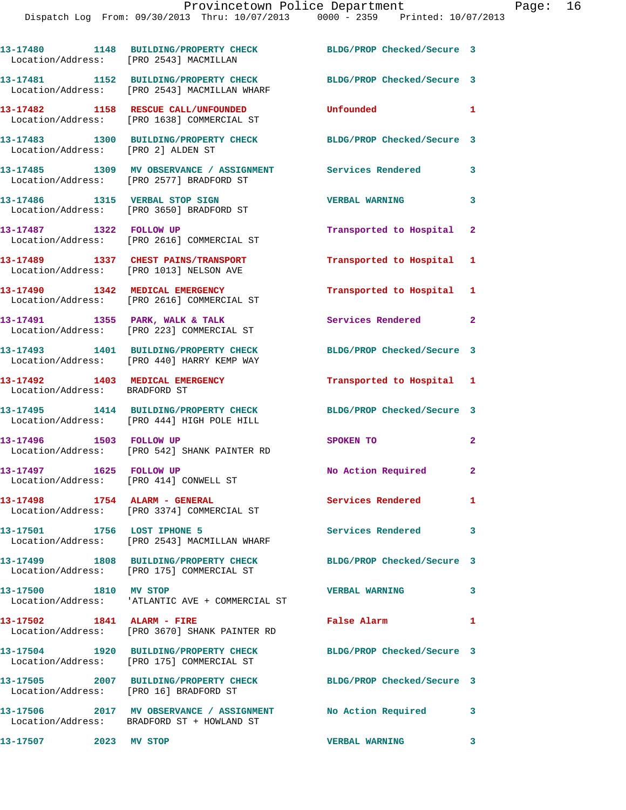**13-17480 1148 BUILDING/PROPERTY CHECK BLDG/PROP Checked/Secure 3**  Location/Address: [PRO 2543] MACMILLAN **13-17481 1152 BUILDING/PROPERTY CHECK BLDG/PROP Checked/Secure 3**  Location/Address: [PRO 2543] MACMILLAN WHARF **13-17482 1158 RESCUE CALL/UNFOUNDED Unfounded 1**  Location/Address: [PRO 1638] COMMERCIAL ST **13-17483 1300 BUILDING/PROPERTY CHECK BLDG/PROP Checked/Secure 3**  Location/Address: [PRO 2] ALDEN ST **13-17485 1309 MV OBSERVANCE / ASSIGNMENT Services Rendered 3**  Location/Address: [PRO 2577] BRADFORD ST **13-17486 1315 VERBAL STOP SIGN VERBAL WARNING 3**  Location/Address: [PRO 3650] BRADFORD ST **13-17487 1322 FOLLOW UP Transported to Hospital 2**  Location/Address: [PRO 2616] COMMERCIAL ST **13-17489 1337 CHEST PAINS/TRANSPORT Transported to Hospital 1**  Location/Address: [PRO 1013] NELSON AVE **13-17490 1342 MEDICAL EMERGENCY Transported to Hospital 1**  Location/Address: [PRO 2616] COMMERCIAL ST 13-17491 1355 PARK, WALK & TALK **Services Rendered** 2 Location/Address: [PRO 223] COMMERCIAL ST **13-17493 1401 BUILDING/PROPERTY CHECK BLDG/PROP Checked/Secure 3**  Location/Address: [PRO 440] HARRY KEMP WAY **13-17492 1403 MEDICAL EMERGENCY Transported to Hospital 1**  Location/Address: BRADFORD ST **13-17495 1414 BUILDING/PROPERTY CHECK BLDG/PROP Checked/Secure 3**  Location/Address: [PRO 444] HIGH POLE HILL **13-17496 1503 FOLLOW UP SPOKEN TO 2**  Location/Address: [PRO 542] SHANK PAINTER RD 13-17497 1625 FOLLOW UP **No Action Required** 2 Location/Address: [PRO 414] CONWELL ST **13-17498 1754 ALARM - GENERAL Services Rendered 1**  Location/Address: [PRO 3374] COMMERCIAL ST **13-17501 1756 LOST IPHONE 5 Services Rendered 3**  Location/Address: [PRO 2543] MACMILLAN WHARF **13-17499 1808 BUILDING/PROPERTY CHECK BLDG/PROP Checked/Secure 3**  Location/Address: [PRO 175] COMMERCIAL ST **13-17500 1810 MV STOP VERBAL WARNING 3**  Location/Address: 'ATLANTIC AVE + COMMERCIAL ST **13-17502 1841 ALARM - FIRE False Alarm 1**  Location/Address: [PRO 3670] SHANK PAINTER RD **13-17504 1920 BUILDING/PROPERTY CHECK BLDG/PROP Checked/Secure 3**  Location/Address: [PRO 175] COMMERCIAL ST **13-17505 2007 BUILDING/PROPERTY CHECK BLDG/PROP Checked/Secure 3**  Location/Address: [PRO 16] BRADFORD ST **13-17506 2017 MV OBSERVANCE / ASSIGNMENT No Action Required 3**  Location/Address: BRADFORD ST + HOWLAND ST

**13-17507 2023 MV STOP VERBAL WARNING 3**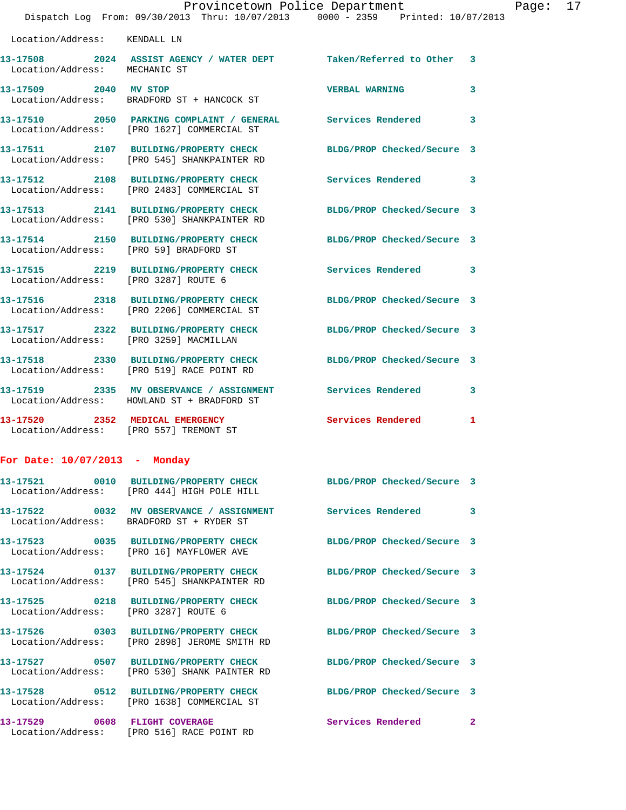|                                        | Provincetown Police Department<br>Dispatch Log From: 09/30/2013 Thru: 10/07/2013 0000 - 2359 Printed: 10/07/2013 |                            |    |
|----------------------------------------|------------------------------------------------------------------------------------------------------------------|----------------------------|----|
| Location/Address: KENDALL LN           |                                                                                                                  |                            |    |
| Location/Address: MECHANIC ST          | 13-17508 2024 ASSIST AGENCY / WATER DEPT Taken/Referred to Other                                                 |                            | 3  |
| 13-17509 2040 MV STOP                  | Location/Address: BRADFORD ST + HANCOCK ST                                                                       | <b>VERBAL WARNING</b>      | 3  |
|                                        | 13-17510 2050 PARKING COMPLAINT / GENERAL Services Rendered<br>Location/Address: [PRO 1627] COMMERCIAL ST        |                            | 3  |
|                                        | 13-17511 2107 BUILDING/PROPERTY CHECK<br>Location/Address: [PRO 545] SHANKPAINTER RD                             | BLDG/PROP Checked/Secure 3 |    |
|                                        | 13-17512 2108 BUILDING/PROPERTY CHECK Services Rendered<br>Location/Address: [PRO 2483] COMMERCIAL ST            |                            | 3  |
|                                        | 13-17513 2141 BUILDING/PROPERTY CHECK<br>Location/Address: [PRO 530] SHANKPAINTER RD                             | BLDG/PROP Checked/Secure 3 |    |
| Location/Address: [PRO 59] BRADFORD ST | 13-17514 2150 BUILDING/PROPERTY CHECK BLDG/PROP Checked/Secure 3                                                 |                            |    |
|                                        | 13-17515 2219 BUILDING/PROPERTY CHECK<br>Location/Address: [PRO 3287] ROUTE 6                                    | <b>Services Rendered</b>   | 3  |
|                                        | 13-17516 2318 BUILDING/PROPERTY CHECK BLDG/PROP Checked/Secure 3<br>Location/Address: [PRO 2206] COMMERCIAL ST   |                            |    |
| Location/Address: [PRO 3259] MACMILLAN | 13-17517 2322 BUILDING/PROPERTY CHECK                                                                            | BLDG/PROP Checked/Secure 3 |    |
|                                        | 13-17518 2330 BUILDING/PROPERTY CHECK BLDG/PROP Checked/Secure 3<br>Location/Address: [PRO 519] RACE POINT RD    |                            |    |
|                                        | 13-17519 2335 MV OBSERVANCE / ASSIGNMENT Services Rendered<br>Location/Address: HOWLAND ST + BRADFORD ST         |                            | 3  |
| 13-17520 2352 MEDICAL EMERGENCY        | Location/Address: [PRO 557] TREMONT ST                                                                           | Services Rendered          | 1  |
| For Date: $10/07/2013$ - Monday        |                                                                                                                  |                            |    |
|                                        | 13-17521 0010 BUILDING/PROPERTY CHECK BLDG/PROP Checked/Secure 3<br>Location/Address: [PRO 444] HIGH POLE HILL   |                            |    |
|                                        | 13-17522 0032 MV OBSERVANCE / ASSIGNMENT<br>Location/Address: BRADFORD ST + RYDER ST                             | <b>Services Rendered</b>   | 3. |
|                                        | 13-17523 0035 BUILDING/PROPERTY CHECK<br>Location/Address: [PRO 16] MAYFLOWER AVE                                | BLDG/PROP Checked/Secure 3 |    |
|                                        | 13-17524 0137 BUILDING/PROPERTY CHECK<br>Location/Address: [PRO 545] SHANKPAINTER RD                             | BLDG/PROP Checked/Secure 3 |    |
| Location/Address: [PRO 3287] ROUTE 6   | 13-17525 0218 BUILDING/PROPERTY CHECK                                                                            | BLDG/PROP Checked/Secure 3 |    |

**13-17526 0303 BUILDING/PROPERTY CHECK BLDG/PROP Checked/Secure 3**  Location/Address: [PRO 2898] JEROME SMITH RD **13-17527 0507 BUILDING/PROPERTY CHECK BLDG/PROP Checked/Secure 3**  Location/Address: [PRO 530] SHANK PAINTER RD **13-17528 0512 BUILDING/PROPERTY CHECK BLDG/PROP Checked/Secure 3**  Location/Address: [PRO 1638] COMMERCIAL ST **13-17529 0608 FLIGHT COVERAGE Services Rendered 2** 

Location/Address: [PRO 516] RACE POINT RD

Page:  $17$ <br>13